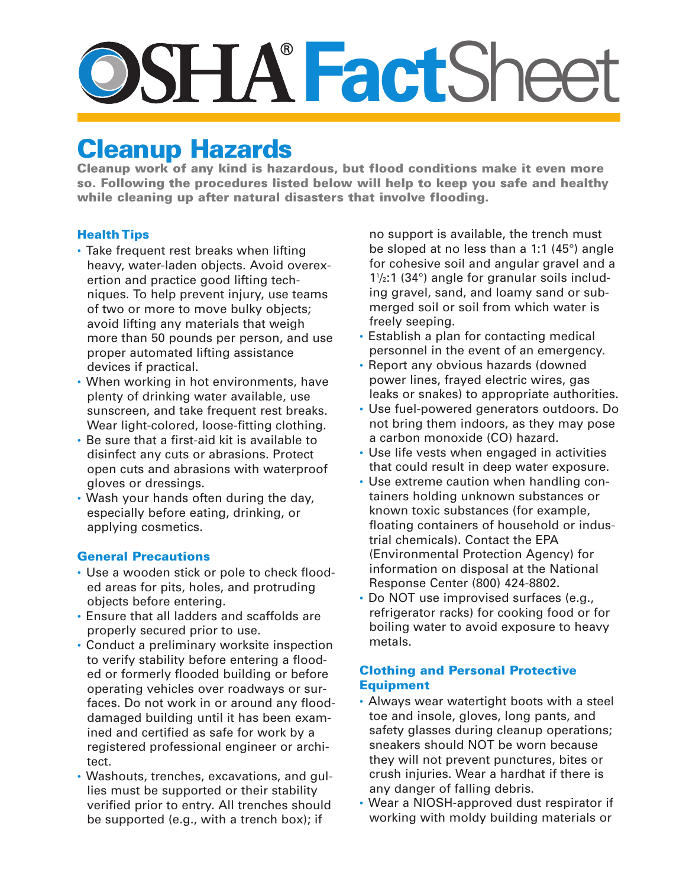# **SSHA FactSheet**

# **Cleanup Hazards**

**Cleanup work of any kind is hazardous, but flood conditions make it even more so. Following the procedures listed below will help to keep you safe and healthy while cleaning up after natural disasters that involve flooding.**

## **HealthTips**

- Take frequent rest breaks when lifting heavy, water-laden objects. Avoid overexertion and practice good lifting techniques. To help prevent injury, use teams of two or more to move bulky objects; avoid lifting any materials that weigh more than 50 pounds per person, and use proper automated lifting assistance devices if practical.
- When working in hot environments, have plenty of drinking water available, use sunscreen, and take frequent rest breaks. Wear light-colored, loose-fitting clothing.
- Be sure that a first-aid kit is available to disinfect any cuts or abrasions. Protect open cuts and abrasions with waterproof gloves or dressings.
- Wash your hands often during the day, especially before eating, drinking, or applying cosmetics.

#### **General Precautions**

- Use a wooden stick or pole to check flooded areas for pits, holes, and protruding objects before entering.
- Ensure that all ladders and scaffolds are properly secured prior to use.
- Conduct a preliminary worksite inspection to verify stability before entering a flooded or formerly flooded building or before operating vehicles over roadways or surfaces. Do not work in or around any flooddamaged building until it has been examined and certified as safe for work by a registered professional engineer or architect.
- Washouts, trenches, excavations, and gullies must be supported or their stability verified prior to entry. All trenches should be supported (e.g., with a trench box); if

no support is available, the trench must be sloped at no less than a 1:1 (45°) angle for cohesive soil and angular gravel and a 11 /2:1 (34°) angle for granular soils including gravel, sand, and loamy sand or submerged soil or soil from which water is freely seeping.

- Establish a plan for contacting medical personnel in the event of an emergency.
- Report any obvious hazards (downed power lines, frayed electric wires, gas leaks or snakes) to appropriate authorities.
- Use fuel-powered generators outdoors. Do not bring them indoors, as they may pose a carbon monoxide (CO) hazard.
- Use life vests when engaged in activities that could result in deep water exposure.
- Use extreme caution when handling containers holding unknown substances or known toxic substances (for example, floating containers of household or industrial chemicals). Contact the EPA (Environmental Protection Agency) for information on disposal at the National Response Center (800) 424-8802.
- Do NOT use improvised surfaces (e.g., refrigerator racks) for cooking food or for boiling water to avoid exposure to heavy metals.

## **Clothing and Personal Protective Equipment**

- Always wear watertight boots with a steel toe and insole, gloves, long pants, and safety glasses during cleanup operations; sneakers should NOT be worn because they will not prevent punctures, bites or crush injuries. Wear a hardhat if there is any danger of falling debris.
- Wear a NIOSH-approved dust respirator if working with moldy building materials or